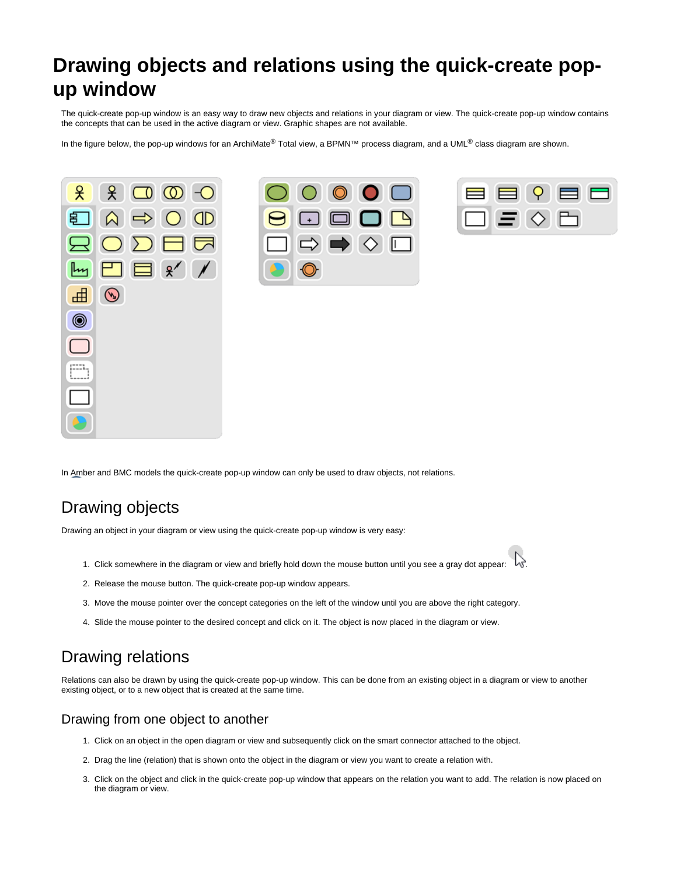# **Drawing objects and relations using the quick-create popup window**

The quick-create pop-up window is an easy way to draw new objects and relations in your diagram or view. The quick-create pop-up window contains the concepts that can be used in the active diagram or view. Graphic shapes are not available.

In the figure below, the pop-up windows for an ArchiMate® Total view, a BPMN™ process diagram, and a UML® class diagram are shown.







In Amber and BMC models the quick-create pop-up window can only be used to draw objects, not relations.

## Drawing objects

Drawing an object in your diagram or view using the quick-create pop-up window is very easy:

- 1. Click somewhere in the diagram or view and briefly hold down the mouse button until you see a gray dot appear:  $\sqrt{v}$ .
- 2. Release the mouse button. The quick-create pop-up window appears.
- 3. Move the mouse pointer over the concept categories on the left of the window until you are above the right category.
- 4. Slide the mouse pointer to the desired concept and click on it. The object is now placed in the diagram or view.

### Drawing relations

Relations can also be drawn by using the quick-create pop-up window. This can be done from an existing object in a diagram or view to another existing object, or to a new object that is created at the same time.

#### Drawing from one object to another

- 1. Click on an object in the open diagram or view and subsequently click on the smart connector attached to the object.
- 2. Drag the line (relation) that is shown onto the object in the diagram or view you want to create a relation with.
- 3. Click on the object and click in the quick-create pop-up window that appears on the relation you want to add. The relation is now placed on the diagram or view.